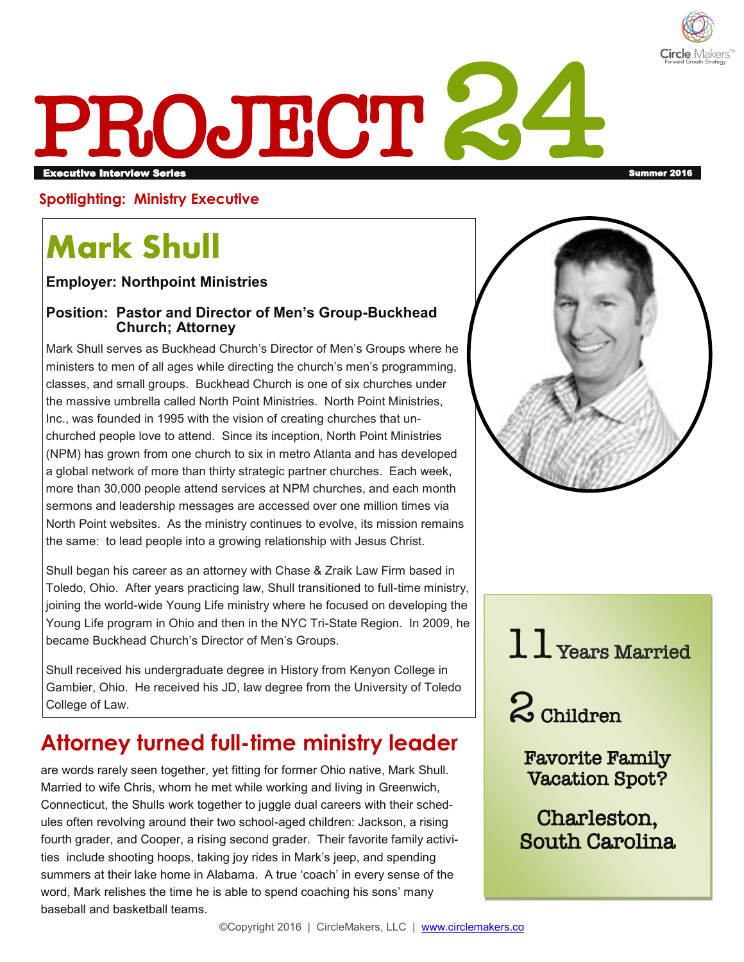

# PROJECT 24 executive Interview Series Summer 2016 in the series of the series of the series of the series of the series of the series of the series of the series of the series of the series of the series of the series of the series o

#### **Spotlighting: Ministry Executive**

# **Mark Shull**

**Employer: Northpoint Ministries** 

#### **Position: Pastor and Director of Men's Group-Buckhead Church; Attorney**

Mark Shull serves as Buckhead Church's Director of Men's Groups where he ministers to men of all ages while directing the church's men's programming, classes, and small groups. Buckhead Church is one of six churches under the massive umbrella called North Point Ministries. North Point Ministries, Inc., was founded in 1995 with the vision of creating churches that unchurched people love to attend. Since its inception, North Point Ministries (NPM) has grown from one church to six in metro Atlanta and has developed a global network of more than thirty strategic partner churches. Each week, more than 30,000 people attend services at NPM churches, and each month sermons and leadership messages are accessed over one million times via North Point websites. As the ministry continues to evolve, its mission remains the same: to lead people into a growing relationship with Jesus Christ.

Shull began his career as an attorney with Chase & Zraik Law Firm based in Toledo, Ohio. After years practicing law, Shull transitioned to full-time ministry, joining the world-wide Young Life ministry where he focused on developing the Young Life program in Ohio and then in the NYC Tri-State Region. In 2009, he became Buckhead Church's Director of Men's Groups.

Shull received his undergraduate degree in History from Kenyon College in Gambier, Ohio. He received his JD, law degree from the University of Toledo College of Law.

## **Attorney turned full-time ministry leader**

are words rarely seen together, yet fitting for former Ohio native, Mark Shull. Married to wife Chris, whom he met while working and living in Greenwich, Connecticut, the Shulls work together to juggle dual careers with their schedules often revolving around their two school-aged children: Jackson, a rising fourth grader, and Cooper, a rising second grader. Their favorite family activities include shooting hoops, taking joy rides in Mark's jeep, and spending summers at their lake home in Alabama. A true 'coach' in every sense of the word, Mark relishes the time he is able to spend coaching his sons' many baseball and basketball teams.





2 Children

Favorite Family Vacation Spot?

Charleston, South Carolina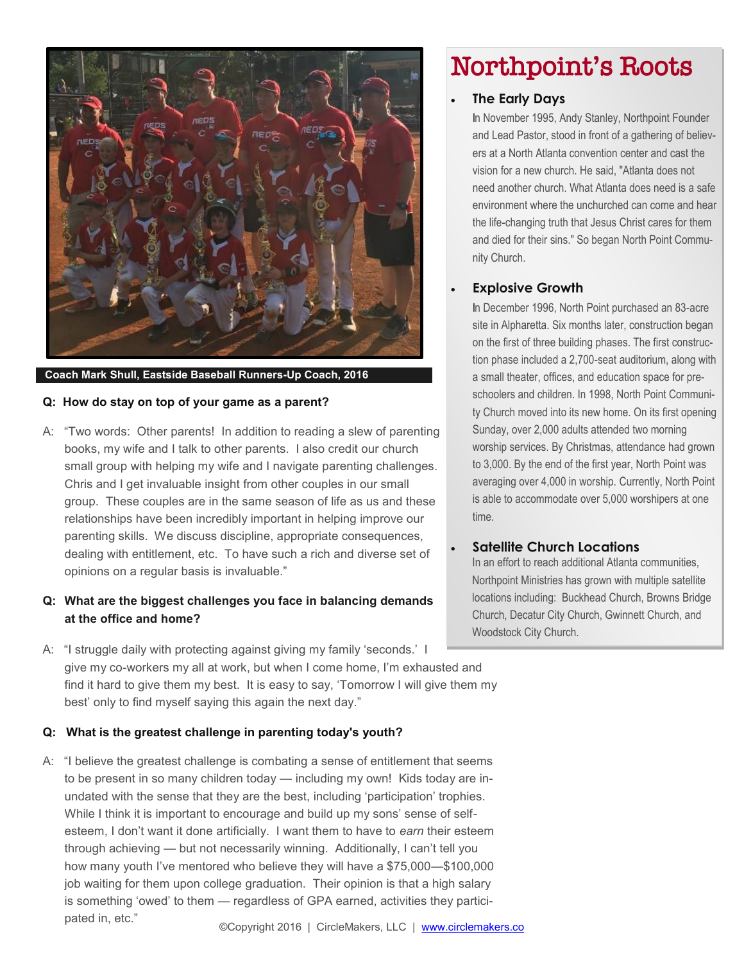

#### **Coach Mark Shull, Eastside Baseball Runners-Up Coach, 2016**

#### **Q: How do stay on top of your game as a parent?**

A: "Two words: Other parents! In addition to reading a slew of parenting books, my wife and I talk to other parents. I also credit our church small group with helping my wife and I navigate parenting challenges. Chris and I get invaluable insight from other couples in our small group. These couples are in the same season of life as us and these relationships have been incredibly important in helping improve our parenting skills. We discuss discipline, appropriate consequences, dealing with entitlement, etc. To have such a rich and diverse set of opinions on a regular basis is invaluable."

#### **Q: What are the biggest challenges you face in balancing demands at the office and home?**

A: "I struggle daily with protecting against giving my family 'seconds.' I give my co-workers my all at work, but when I come home, I'm exhausted and find it hard to give them my best. It is easy to say, 'Tomorrow I will give them my best' only to find myself saying this again the next day."

#### **Q: What is the greatest challenge in parenting today's youth?**

A: "I believe the greatest challenge is combating a sense of entitlement that seems to be present in so many children today — including my own! Kids today are inundated with the sense that they are the best, including 'participation' trophies. While I think it is important to encourage and build up my sons' sense of selfesteem, I don't want it done artificially. I want them to have to *earn* their esteem through achieving — but not necessarily winning. Additionally, I can't tell you how many youth I've mentored who believe they will have a \$75,000—\$100,000 job waiting for them upon college graduation. Their opinion is that a high salary is something 'owed' to them — regardless of GPA earned, activities they participated in, etc."

### Northpoint's Roots

#### **The Early Days**

In November 1995, Andy Stanley, Northpoint Founder and Lead Pastor, stood in front of a gathering of believers at a North Atlanta convention center and cast the vision for a new church. He said, "Atlanta does not need another church. What Atlanta does need is a safe environment where the unchurched can come and hear the life-changing truth that Jesus Christ cares for them and died for their sins." So began North Point Community Church.

#### **Explosive Growth**

In December 1996, North Point purchased an 83-acre site in Alpharetta. Six months later, construction began on the first of three building phases. The first construction phase included a 2,700-seat auditorium, along with a small theater, offices, and education space for preschoolers and children. In 1998, North Point Community Church moved into its new home. On its first opening Sunday, over 2,000 adults attended two morning worship services. By Christmas, attendance had grown to 3,000. By the end of the first year, North Point was averaging over 4,000 in worship. Currently, North Point is able to accommodate over 5,000 worshipers at one time.

#### **Satellite Church Locations**

In an effort to reach additional Atlanta communities, Northpoint Ministries has grown with multiple satellite locations including: Buckhead Church, Browns Bridge Church, Decatur City Church, Gwinnett Church, and Woodstock City Church.